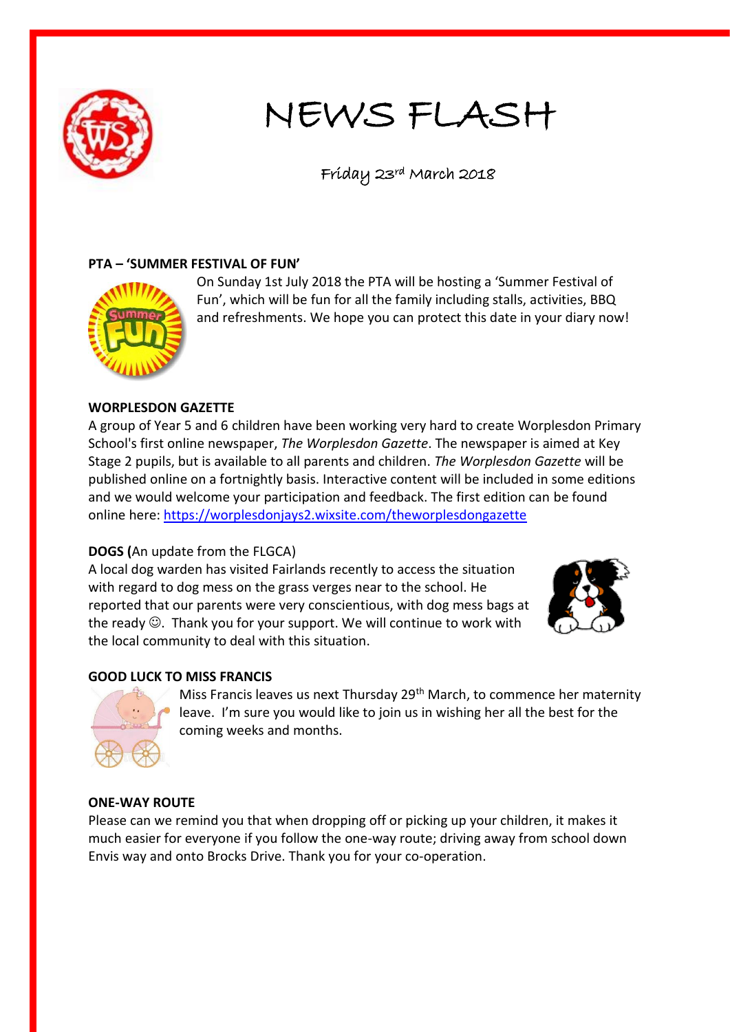

# NEWS FLASH

## Friday 23rd March 2018

### **PTA – 'SUMMER FESTIVAL OF FUN'**



On Sunday 1st July 2018 the PTA will be hosting a 'Summer Festival of Fun', which will be fun for all the family including stalls, activities, BBQ and refreshments. We hope you can protect this date in your diary now!

#### **WORPLESDON GAZETTE**

A group of Year 5 and 6 children have been working very hard to create Worplesdon Primary School's first online newspaper, *The Worplesdon Gazette*. The newspaper is aimed at Key Stage 2 pupils, but is available to all parents and children. *The Worplesdon Gazette* will be published online on a fortnightly basis. Interactive content will be included in some editions and we would welcome your participation and feedback. The first edition can be found online here: <https://worplesdonjays2.wixsite.com/theworplesdongazette>

#### **DOGS (**An update from the FLGCA)

A local dog warden has visited Fairlands recently to access the situation with regard to dog mess on the grass verges near to the school. He reported that our parents were very conscientious, with dog mess bags at the ready  $\odot$ . Thank you for your support. We will continue to work with the local community to deal with this situation.



#### **GOOD LUCK TO MISS FRANCIS**



Miss Francis leaves us next Thursday 29<sup>th</sup> March, to commence her maternity leave. I'm sure you would like to join us in wishing her all the best for the coming weeks and months.

#### **ONE-WAY ROUTE**

Please can we remind you that when dropping off or picking up your children, it makes it much easier for everyone if you follow the one-way route; driving away from school down Envis way and onto Brocks Drive. Thank you for your co-operation.